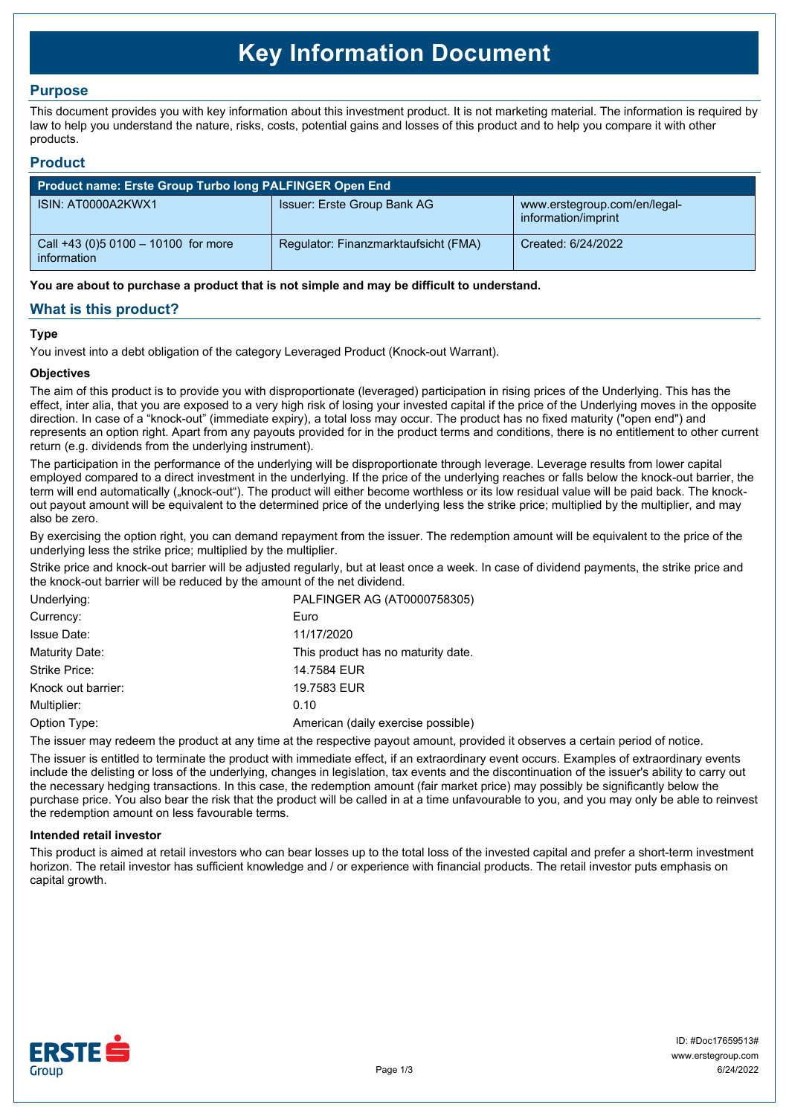# **Key Information Document**

# **Purpose**

This document provides you with key information about this investment product. It is not marketing material. The information is required by law to help you understand the nature, risks, costs, potential gains and losses of this product and to help you compare it with other products.

## **Product**

| <b>Product name: Erste Group Turbo long PALFINGER Open End</b> |                                      |                                                     |  |  |
|----------------------------------------------------------------|--------------------------------------|-----------------------------------------------------|--|--|
| ISIN: AT0000A2KWX1                                             | Issuer: Erste Group Bank AG          | www.erstegroup.com/en/legal-<br>information/imprint |  |  |
| Call +43 (0) 5 0100 - 10100 for more<br>information            | Regulator: Finanzmarktaufsicht (FMA) | Created: 6/24/2022                                  |  |  |

**You are about to purchase a product that is not simple and may be difficult to understand.**

# **What is this product?**

## **Type**

You invest into a debt obligation of the category Leveraged Product (Knock-out Warrant).

## **Objectives**

The aim of this product is to provide you with disproportionate (leveraged) participation in rising prices of the Underlying. This has the effect, inter alia, that you are exposed to a very high risk of losing your invested capital if the price of the Underlying moves in the opposite direction. In case of a "knock-out" (immediate expiry), a total loss may occur. The product has no fixed maturity ("open end") and represents an option right. Apart from any payouts provided for in the product terms and conditions, there is no entitlement to other current return (e.g. dividends from the underlying instrument).

The participation in the performance of the underlying will be disproportionate through leverage. Leverage results from lower capital employed compared to a direct investment in the underlying. If the price of the underlying reaches or falls below the knock-out barrier, the term will end automatically ("knock-out"). The product will either become worthless or its low residual value will be paid back. The knockout payout amount will be equivalent to the determined price of the underlying less the strike price; multiplied by the multiplier, and may also be zero.

By exercising the option right, you can demand repayment from the issuer. The redemption amount will be equivalent to the price of the underlying less the strike price; multiplied by the multiplier.

Strike price and knock-out barrier will be adjusted regularly, but at least once a week. In case of dividend payments, the strike price and the knock-out barrier will be reduced by the amount of the net dividend.

| Underlying:        | PALFINGER AG (AT0000758305)        |
|--------------------|------------------------------------|
| Currency:          | Euro                               |
| <b>Issue Date:</b> | 11/17/2020                         |
| Maturity Date:     | This product has no maturity date. |
| Strike Price:      | 14.7584 EUR                        |
| Knock out barrier: | 19.7583 EUR                        |
| Multiplier:        | 0.10                               |
| Option Type:       | American (daily exercise possible) |

The issuer may redeem the product at any time at the respective payout amount, provided it observes a certain period of notice.

The issuer is entitled to terminate the product with immediate effect, if an extraordinary event occurs. Examples of extraordinary events include the delisting or loss of the underlying, changes in legislation, tax events and the discontinuation of the issuer's ability to carry out the necessary hedging transactions. In this case, the redemption amount (fair market price) may possibly be significantly below the purchase price. You also bear the risk that the product will be called in at a time unfavourable to you, and you may only be able to reinvest the redemption amount on less favourable terms.

### **Intended retail investor**

This product is aimed at retail investors who can bear losses up to the total loss of the invested capital and prefer a short-term investment horizon. The retail investor has sufficient knowledge and / or experience with financial products. The retail investor puts emphasis on capital growth.

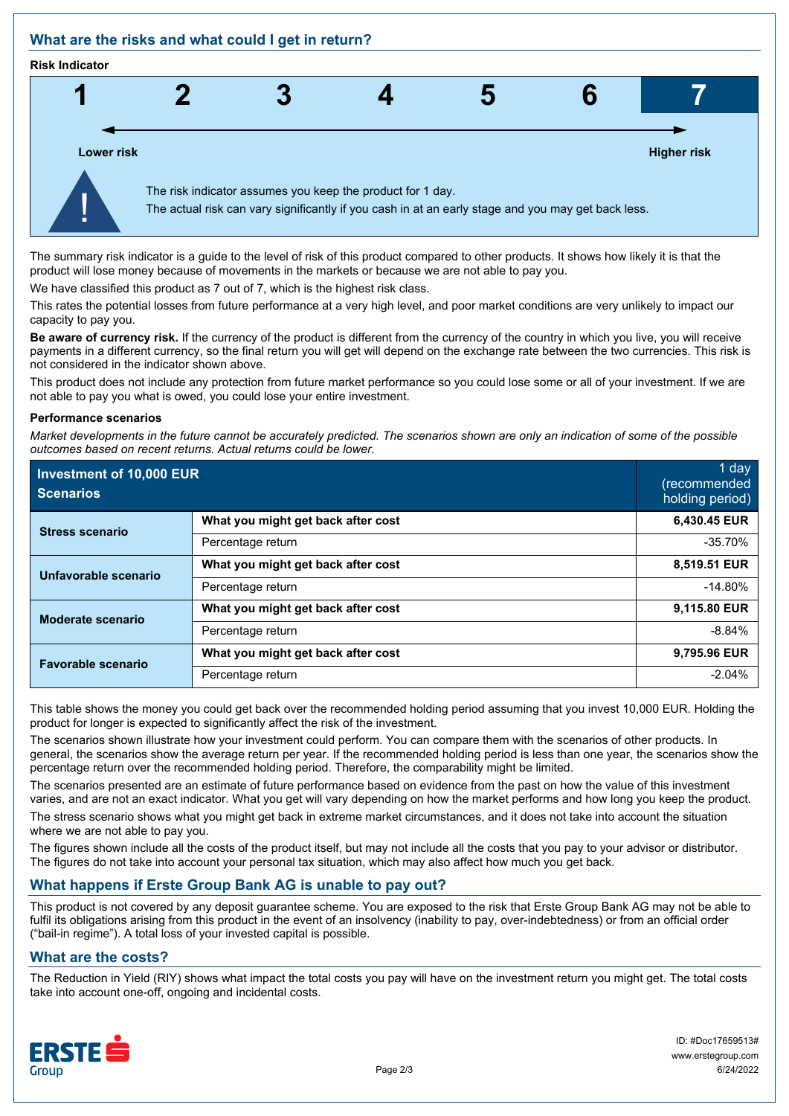# **What are the risks and what could I get in return?**

#### **Risk Indicator**



The summary risk indicator is a guide to the level of risk of this product compared to other products. It shows how likely it is that the product will lose money because of movements in the markets or because we are not able to pay you.

We have classified this product as 7 out of 7, which is the highest risk class.

This rates the potential losses from future performance at a very high level, and poor market conditions are very unlikely to impact our capacity to pay you.

**Be aware of currency risk.** If the currency of the product is different from the currency of the country in which you live, you will receive payments in a different currency, so the final return you will get will depend on the exchange rate between the two currencies. This risk is not considered in the indicator shown above.

This product does not include any protection from future market performance so you could lose some or all of your investment. If we are not able to pay you what is owed, you could lose your entire investment.

#### **Performance scenarios**

*Market developments in the future cannot be accurately predicted. The scenarios shown are only an indication of some of the possible outcomes based on recent returns. Actual returns could be lower.*

| Investment of 10,000 EUR<br><b>Scenarios</b> |                                    | 1 day<br>(recommended<br>holding period) |
|----------------------------------------------|------------------------------------|------------------------------------------|
| <b>Stress scenario</b>                       | What you might get back after cost | 6,430.45 EUR                             |
|                                              | Percentage return                  | $-35.70%$                                |
| Unfavorable scenario                         | What you might get back after cost | 8,519.51 EUR                             |
|                                              | Percentage return                  | $-14.80%$                                |
| <b>Moderate scenario</b>                     | What you might get back after cost | 9,115.80 EUR                             |
|                                              | Percentage return                  | $-8.84%$                                 |
| <b>Favorable scenario</b>                    | What you might get back after cost | 9,795.96 EUR                             |
|                                              | Percentage return                  | $-2.04%$                                 |

This table shows the money you could get back over the recommended holding period assuming that you invest 10,000 EUR. Holding the product for longer is expected to significantly affect the risk of the investment.

The scenarios shown illustrate how your investment could perform. You can compare them with the scenarios of other products. In general, the scenarios show the average return per year. If the recommended holding period is less than one year, the scenarios show the percentage return over the recommended holding period. Therefore, the comparability might be limited.

The scenarios presented are an estimate of future performance based on evidence from the past on how the value of this investment varies, and are not an exact indicator. What you get will vary depending on how the market performs and how long you keep the product.

The stress scenario shows what you might get back in extreme market circumstances, and it does not take into account the situation where we are not able to pay you.

The figures shown include all the costs of the product itself, but may not include all the costs that you pay to your advisor or distributor. The figures do not take into account your personal tax situation, which may also affect how much you get back.

# **What happens if Erste Group Bank AG is unable to pay out?**

This product is not covered by any deposit guarantee scheme. You are exposed to the risk that Erste Group Bank AG may not be able to fulfil its obligations arising from this product in the event of an insolvency (inability to pay, over-indebtedness) or from an official order ("bail-in regime"). A total loss of your invested capital is possible.

# **What are the costs?**

The Reduction in Yield (RIY) shows what impact the total costs you pay will have on the investment return you might get. The total costs take into account one-off, ongoing and incidental costs.